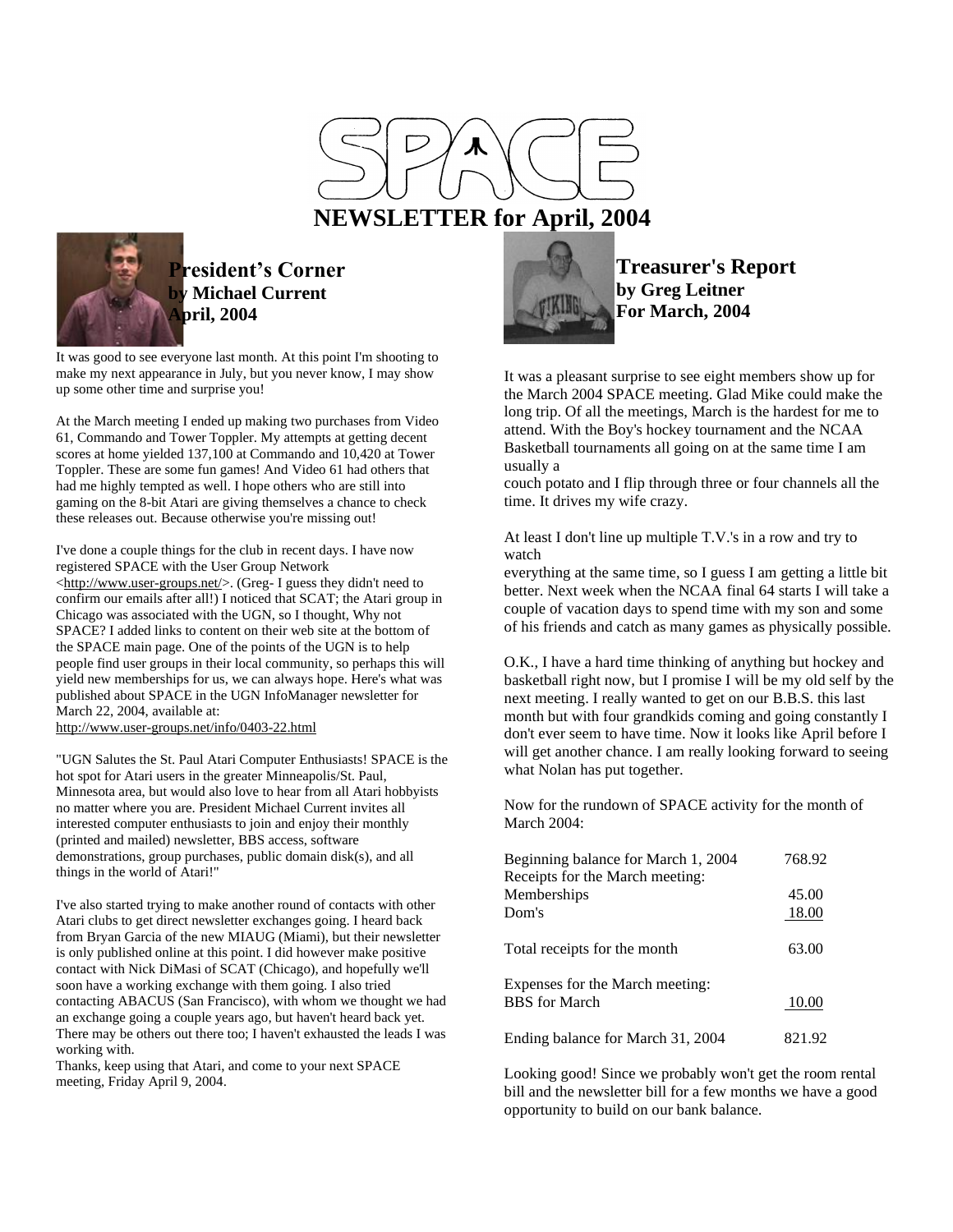

## **NEWSLETTER for April, 2004**



## **President's Corner by Michael Current April, 2004**

It was good to see everyone last month. At this point I'm shooting to make my next appearance in July, but you never know, I may show up some other time and surprise you!

At the March meeting I ended up making two purchases from Video 61, Commando and Tower Toppler. My attempts at getting decent scores at home yielded 137,100 at Commando and 10,420 at Tower Toppler. These are some fun games! And Video 61 had others that had me highly tempted as well. I hope others who are still into gaming on the 8-bit Atari are giving themselves a chance to check these releases out. Because otherwise you're missing out!

I've done a couple things for the club in recent days. I have now registered SPACE with the User Group Network [<http://www.user-groups.net/>](http://www.user-groups.net/). (Greg- I guess they didn't need to confirm our emails after all!) I noticed that SCAT; the Atari group in Chicago was associated with the UGN, so I thought, Why not SPACE? I added links to content on their web site at the bottom of the SPACE main page. One of the points of the UGN is to help people find user groups in their local community, so perhaps this will yield new memberships for us, we can always hope. Here's what was published about SPACE in the UGN InfoManager newsletter for March 22, 2004, available at:

<http://www.user-groups.net/info/0403-22.html>

"UGN Salutes the St. Paul Atari Computer Enthusiasts! SPACE is the hot spot for Atari users in the greater Minneapolis/St. Paul, Minnesota area, but would also love to hear from all Atari hobbyists no matter where you are. President Michael Current invites all interested computer enthusiasts to join and enjoy their monthly (printed and mailed) newsletter, BBS access, software demonstrations, group purchases, public domain disk(s), and all things in the world of Atari!"

I've also started trying to make another round of contacts with other Atari clubs to get direct newsletter exchanges going. I heard back from Bryan Garcia of the new MIAUG (Miami), but their newsletter is only published online at this point. I did however make positive contact with Nick DiMasi of SCAT (Chicago), and hopefully we'll soon have a working exchange with them going. I also tried contacting ABACUS (San Francisco), with whom we thought we had an exchange going a couple years ago, but haven't heard back yet. There may be others out there too; I haven't exhausted the leads I was working with.

Thanks, keep using that Atari, and come to your next SPACE meeting, Friday April 9, 2004.



**Treasurer's Report by Greg Leitner For March, 2004**

It was a pleasant surprise to see eight members show up for the March 2004 SPACE meeting. Glad Mike could make the long trip. Of all the meetings, March is the hardest for me to attend. With the Boy's hockey tournament and the NCAA Basketball tournaments all going on at the same time I am usually a

couch potato and I flip through three or four channels all the time. It drives my wife crazy.

At least I don't line up multiple T.V.'s in a row and try to watch

everything at the same time, so I guess I am getting a little bit better. Next week when the NCAA final 64 starts I will take a couple of vacation days to spend time with my son and some of his friends and catch as many games as physically possible.

O.K., I have a hard time thinking of anything but hockey and basketball right now, but I promise I will be my old self by the next meeting. I really wanted to get on our B.B.S. this last month but with four grandkids coming and going constantly I don't ever seem to have time. Now it looks like April before I will get another chance. I am really looking forward to seeing what Nolan has put together.

Now for the rundown of SPACE activity for the month of March 2004:

| Beginning balance for March 1, 2004 | 768.92 |
|-------------------------------------|--------|
| Receipts for the March meeting:     |        |
| Memberships                         | 45.00  |
| Dom's                               | 18.00  |
| Total receipts for the month        | 63.00  |
| Expenses for the March meeting:     |        |
| <b>BBS</b> for March                | 10.00  |
| Ending balance for March 31, 2004   | 821.92 |

Looking good! Since we probably won't get the room rental bill and the newsletter bill for a few months we have a good opportunity to build on our bank balance.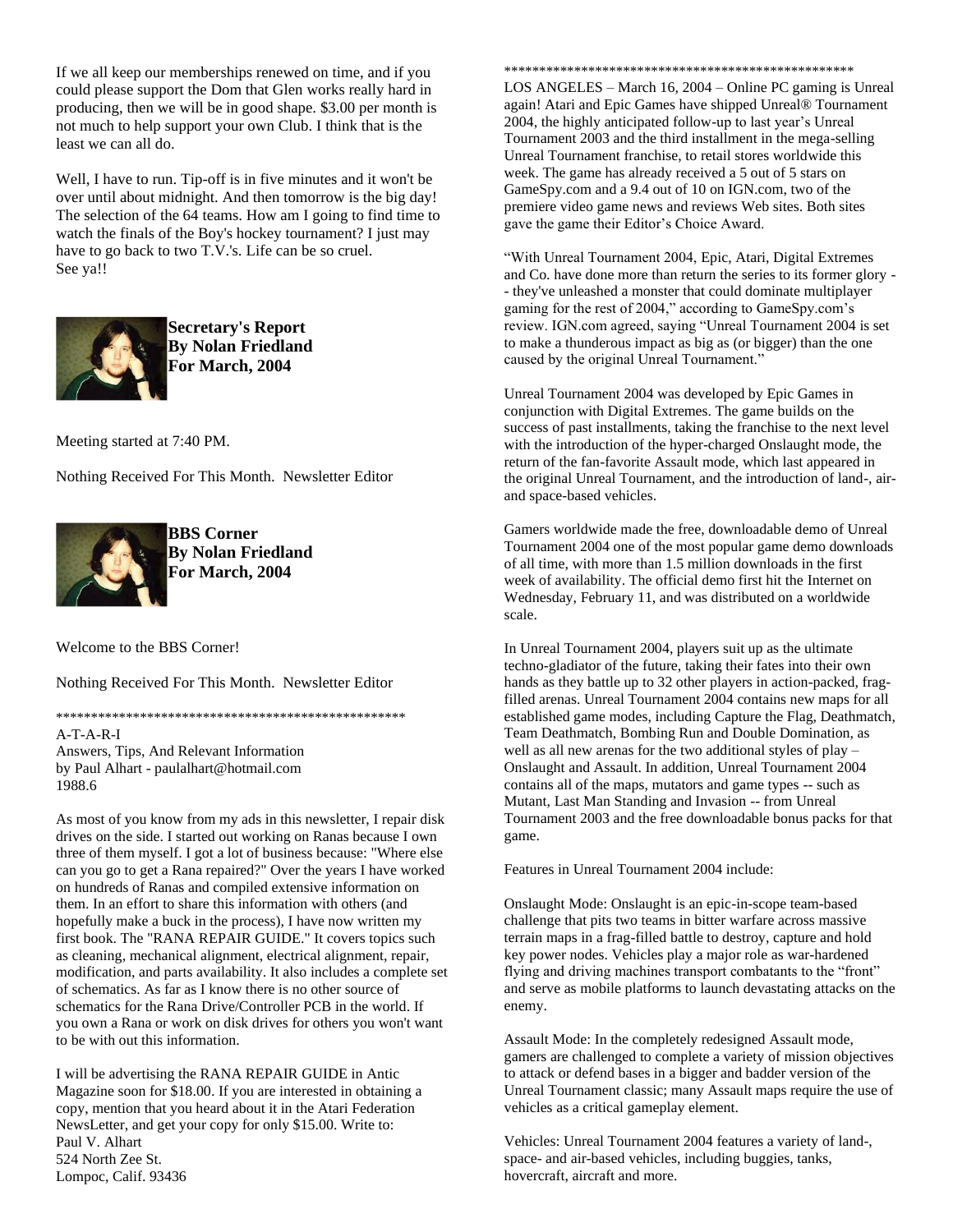If we all keep our memberships renewed on time, and if you could please support the Dom that Glen works really hard in producing, then we will be in good shape. \$3.00 per month is not much to help support your own Club. I think that is the least we can all do.

Well, I have to run. Tip-off is in five minutes and it won't be over until about midnight. And then tomorrow is the big day! The selection of the 64 teams. How am I going to find time to watch the finals of the Boy's hockey tournament? I just may have to go back to two T.V.'s. Life can be so cruel. See ya!!



**Secretary's Report By Nolan Friedland For March, 2004**

Meeting started at 7:40 PM.

Nothing Received For This Month. Newsletter Editor



**BBS Corner By Nolan Friedland For March, 2004**

Welcome to the BBS Corner!

Nothing Received For This Month. Newsletter Editor

\*\*\*\*\*\*\*\*\*\*\*\*\*\*\*\*\*\*\*\*\*\*\*\*\*\*\*\*\*\*\*\*\*\*\*\*\*\*\*\*\*\*\*\*\*\*\*\*\*\* A-T-A-R-I Answers, Tips, And Relevant Information

by Paul Alhart - paulalhart@hotmail.com 1988.6

As most of you know from my ads in this newsletter, I repair disk drives on the side. I started out working on Ranas because I own three of them myself. I got a lot of business because: "Where else can you go to get a Rana repaired?" Over the years I have worked on hundreds of Ranas and compiled extensive information on them. In an effort to share this information with others (and hopefully make a buck in the process), I have now written my first book. The "RANA REPAIR GUIDE." It covers topics such as cleaning, mechanical alignment, electrical alignment, repair, modification, and parts availability. It also includes a complete set of schematics. As far as I know there is no other source of schematics for the Rana Drive/Controller PCB in the world. If you own a Rana or work on disk drives for others you won't want to be with out this information.

I will be advertising the RANA REPAIR GUIDE in Antic Magazine soon for \$18.00. If you are interested in obtaining a copy, mention that you heard about it in the Atari Federation NewsLetter, and get your copy for only \$15.00. Write to: Paul V. Alhart 524 North Zee St. Lompoc, Calif. 93436

\*\*\*\*\*\*\*\*\*\*\*\*\*\*\*\*\*\*\*\*\*\*\*\*\*\*\*\*\*\*\*\*\*\*\*\*\*\*\*\*\*\*\*\*\*\*\*\*\*\*

LOS ANGELES – March 16, 2004 – Online PC gaming is Unreal again! Atari and Epic Games have shipped Unreal® Tournament 2004, the highly anticipated follow-up to last year's Unreal Tournament 2003 and the third installment in the mega-selling Unreal Tournament franchise, to retail stores worldwide this week. The game has already received a 5 out of 5 stars on GameSpy.com and a 9.4 out of 10 on IGN.com, two of the premiere video game news and reviews Web sites. Both sites gave the game their Editor's Choice Award.

"With Unreal Tournament 2004, Epic, Atari, Digital Extremes and Co. have done more than return the series to its former glory - - they've unleashed a monster that could dominate multiplayer gaming for the rest of 2004," according to GameSpy.com's review. IGN.com agreed, saying "Unreal Tournament 2004 is set to make a thunderous impact as big as (or bigger) than the one caused by the original Unreal Tournament."

Unreal Tournament 2004 was developed by Epic Games in conjunction with Digital Extremes. The game builds on the success of past installments, taking the franchise to the next level with the introduction of the hyper-charged Onslaught mode, the return of the fan-favorite Assault mode, which last appeared in the original Unreal Tournament, and the introduction of land-, airand space-based vehicles.

Gamers worldwide made the free, downloadable demo of Unreal Tournament 2004 one of the most popular game demo downloads of all time, with more than 1.5 million downloads in the first week of availability. The official demo first hit the Internet on Wednesday, February 11, and was distributed on a worldwide scale.

In Unreal Tournament 2004, players suit up as the ultimate techno-gladiator of the future, taking their fates into their own hands as they battle up to 32 other players in action-packed, fragfilled arenas. Unreal Tournament 2004 contains new maps for all established game modes, including Capture the Flag, Deathmatch, Team Deathmatch, Bombing Run and Double Domination, as well as all new arenas for the two additional styles of play – Onslaught and Assault. In addition, Unreal Tournament 2004 contains all of the maps, mutators and game types -- such as Mutant, Last Man Standing and Invasion -- from Unreal Tournament 2003 and the free downloadable bonus packs for that game.

Features in Unreal Tournament 2004 include:

Onslaught Mode: Onslaught is an epic-in-scope team-based challenge that pits two teams in bitter warfare across massive terrain maps in a frag-filled battle to destroy, capture and hold key power nodes. Vehicles play a major role as war-hardened flying and driving machines transport combatants to the "front" and serve as mobile platforms to launch devastating attacks on the enemy.

Assault Mode: In the completely redesigned Assault mode, gamers are challenged to complete a variety of mission objectives to attack or defend bases in a bigger and badder version of the Unreal Tournament classic; many Assault maps require the use of vehicles as a critical gameplay element.

Vehicles: Unreal Tournament 2004 features a variety of land-, space- and air-based vehicles, including buggies, tanks, hovercraft, aircraft and more.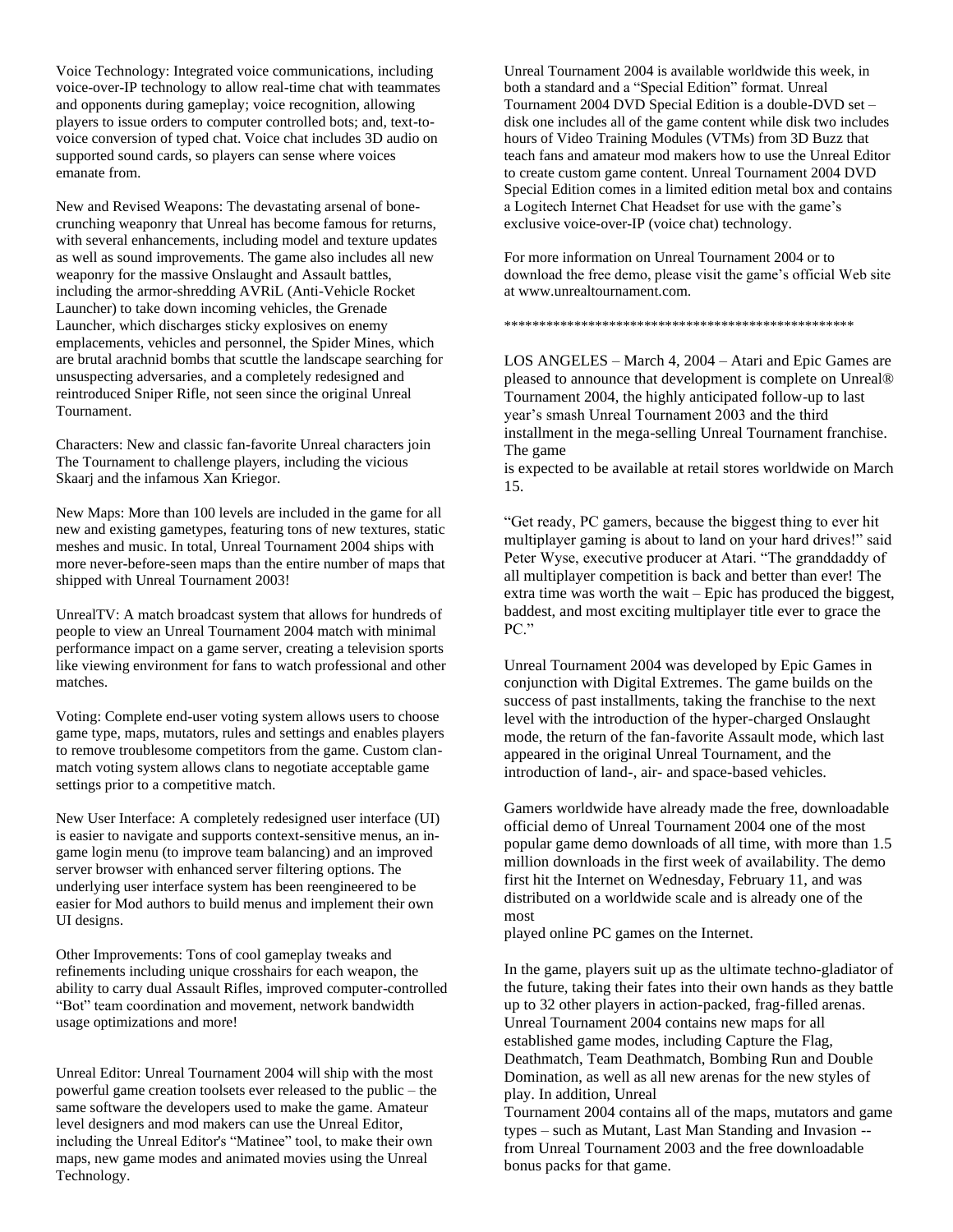Voice Technology: Integrated voice communications, including voice-over-IP technology to allow real-time chat with teammates and opponents during gameplay; voice recognition, allowing players to issue orders to computer controlled bots; and, text-tovoice conversion of typed chat. Voice chat includes 3D audio on supported sound cards, so players can sense where voices emanate from.

New and Revised Weapons: The devastating arsenal of bonecrunching weaponry that Unreal has become famous for returns, with several enhancements, including model and texture updates as well as sound improvements. The game also includes all new weaponry for the massive Onslaught and Assault battles, including the armor-shredding AVRiL (Anti-Vehicle Rocket Launcher) to take down incoming vehicles, the Grenade Launcher, which discharges sticky explosives on enemy emplacements, vehicles and personnel, the Spider Mines, which are brutal arachnid bombs that scuttle the landscape searching for unsuspecting adversaries, and a completely redesigned and reintroduced Sniper Rifle, not seen since the original Unreal Tournament.

Characters: New and classic fan-favorite Unreal characters join The Tournament to challenge players, including the vicious Skaarj and the infamous Xan Kriegor.

New Maps: More than 100 levels are included in the game for all new and existing gametypes, featuring tons of new textures, static meshes and music. In total, Unreal Tournament 2004 ships with more never-before-seen maps than the entire number of maps that shipped with Unreal Tournament 2003!

UnrealTV: A match broadcast system that allows for hundreds of people to view an Unreal Tournament 2004 match with minimal performance impact on a game server, creating a television sports like viewing environment for fans to watch professional and other matches.

Voting: Complete end-user voting system allows users to choose game type, maps, mutators, rules and settings and enables players to remove troublesome competitors from the game. Custom clanmatch voting system allows clans to negotiate acceptable game settings prior to a competitive match.

New User Interface: A completely redesigned user interface (UI) is easier to navigate and supports context-sensitive menus, an ingame login menu (to improve team balancing) and an improved server browser with enhanced server filtering options. The underlying user interface system has been reengineered to be easier for Mod authors to build menus and implement their own UI designs.

Other Improvements: Tons of cool gameplay tweaks and refinements including unique crosshairs for each weapon, the ability to carry dual Assault Rifles, improved computer-controlled "Bot" team coordination and movement, network bandwidth usage optimizations and more!

Unreal Editor: Unreal Tournament 2004 will ship with the most powerful game creation toolsets ever released to the public – the same software the developers used to make the game. Amateur level designers and mod makers can use the Unreal Editor, including the Unreal Editor's "Matinee" tool, to make their own maps, new game modes and animated movies using the Unreal Technology.

Unreal Tournament 2004 is available worldwide this week, in both a standard and a "Special Edition" format. Unreal Tournament 2004 DVD Special Edition is a double-DVD set – disk one includes all of the game content while disk two includes hours of Video Training Modules (VTMs) from 3D Buzz that teach fans and amateur mod makers how to use the Unreal Editor to create custom game content. Unreal Tournament 2004 DVD Special Edition comes in a limited edition metal box and contains a Logitech Internet Chat Headset for use with the game's exclusive voice-over-IP (voice chat) technology.

For more information on Unreal Tournament 2004 or to download the free demo, please visit the game's official Web site at www.unrealtournament.com.

\*\*\*\*\*\*\*\*\*\*\*\*\*\*\*\*\*\*\*\*\*\*\*\*\*\*\*\*\*\*\*\*\*\*\*\*\*\*\*\*\*\*\*\*\*\*\*\*\*\*

LOS ANGELES – March 4, 2004 – Atari and Epic Games are pleased to announce that development is complete on Unreal® Tournament 2004, the highly anticipated follow-up to last year's smash Unreal Tournament 2003 and the third installment in the mega-selling Unreal Tournament franchise. The game

is expected to be available at retail stores worldwide on March 15.

"Get ready, PC gamers, because the biggest thing to ever hit multiplayer gaming is about to land on your hard drives!" said Peter Wyse, executive producer at Atari. "The granddaddy of all multiplayer competition is back and better than ever! The extra time was worth the wait – Epic has produced the biggest, baddest, and most exciting multiplayer title ever to grace the PC."

Unreal Tournament 2004 was developed by Epic Games in conjunction with Digital Extremes. The game builds on the success of past installments, taking the franchise to the next level with the introduction of the hyper-charged Onslaught mode, the return of the fan-favorite Assault mode, which last appeared in the original Unreal Tournament, and the introduction of land-, air- and space-based vehicles.

Gamers worldwide have already made the free, downloadable official demo of Unreal Tournament 2004 one of the most popular game demo downloads of all time, with more than 1.5 million downloads in the first week of availability. The demo first hit the Internet on Wednesday, February 11, and was distributed on a worldwide scale and is already one of the most

played online PC games on the Internet.

In the game, players suit up as the ultimate techno-gladiator of the future, taking their fates into their own hands as they battle up to 32 other players in action-packed, frag-filled arenas. Unreal Tournament 2004 contains new maps for all established game modes, including Capture the Flag, Deathmatch, Team Deathmatch, Bombing Run and Double Domination, as well as all new arenas for the new styles of play. In addition, Unreal Tournament 2004 contains all of the maps, mutators and game

types – such as Mutant, Last Man Standing and Invasion - from Unreal Tournament 2003 and the free downloadable bonus packs for that game.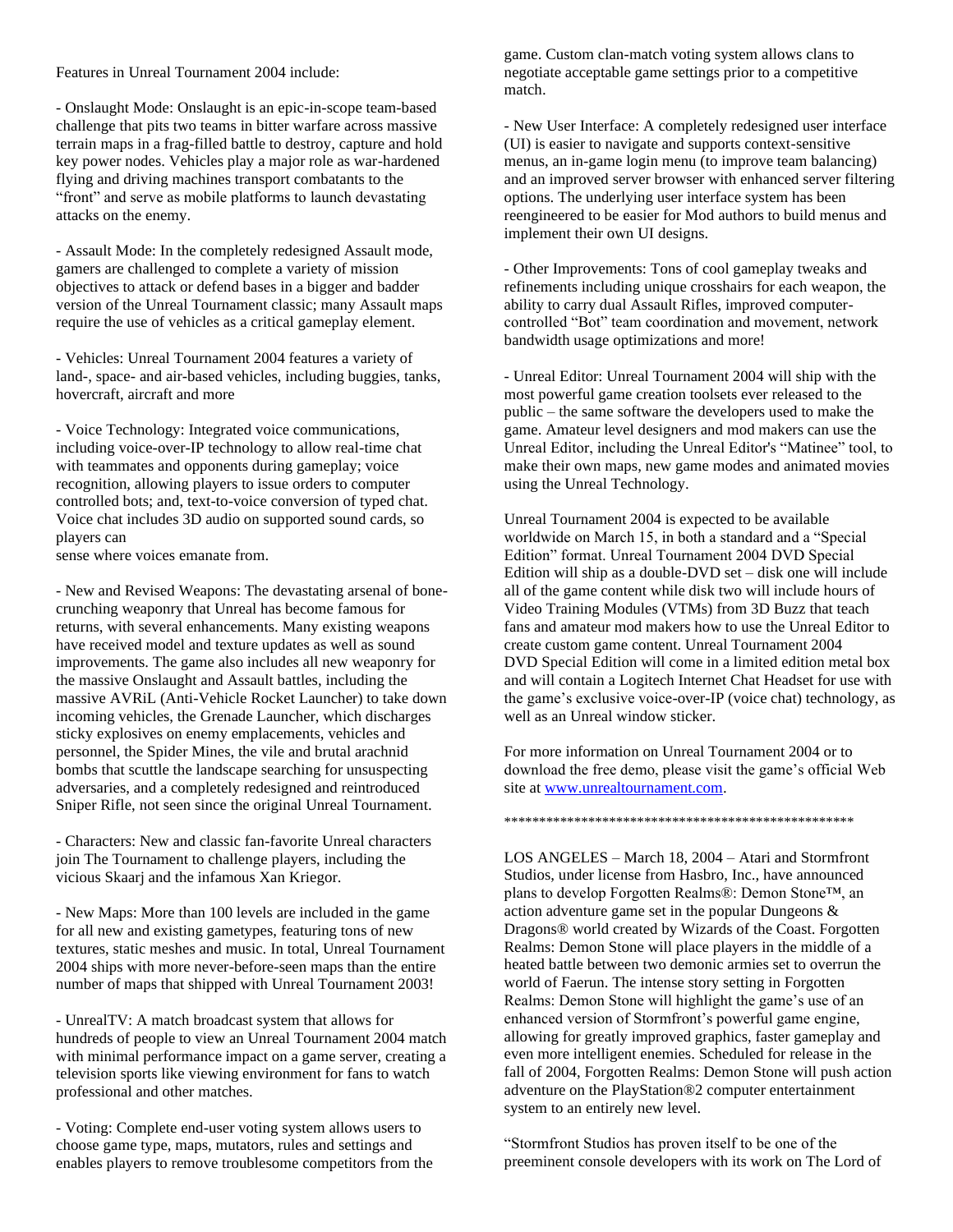Features in Unreal Tournament 2004 include:

- Onslaught Mode: Onslaught is an epic-in-scope team-based challenge that pits two teams in bitter warfare across massive terrain maps in a frag-filled battle to destroy, capture and hold key power nodes. Vehicles play a major role as war-hardened flying and driving machines transport combatants to the "front" and serve as mobile platforms to launch devastating attacks on the enemy.

- Assault Mode: In the completely redesigned Assault mode, gamers are challenged to complete a variety of mission objectives to attack or defend bases in a bigger and badder version of the Unreal Tournament classic; many Assault maps require the use of vehicles as a critical gameplay element.

- Vehicles: Unreal Tournament 2004 features a variety of land-, space- and air-based vehicles, including buggies, tanks, hovercraft, aircraft and more

- Voice Technology: Integrated voice communications, including voice-over-IP technology to allow real-time chat with teammates and opponents during gameplay; voice recognition, allowing players to issue orders to computer controlled bots; and, text-to-voice conversion of typed chat. Voice chat includes 3D audio on supported sound cards, so players can

sense where voices emanate from.

- New and Revised Weapons: The devastating arsenal of bonecrunching weaponry that Unreal has become famous for returns, with several enhancements. Many existing weapons have received model and texture updates as well as sound improvements. The game also includes all new weaponry for the massive Onslaught and Assault battles, including the massive AVRiL (Anti-Vehicle Rocket Launcher) to take down incoming vehicles, the Grenade Launcher, which discharges sticky explosives on enemy emplacements, vehicles and personnel, the Spider Mines, the vile and brutal arachnid bombs that scuttle the landscape searching for unsuspecting adversaries, and a completely redesigned and reintroduced Sniper Rifle, not seen since the original Unreal Tournament.

- Characters: New and classic fan-favorite Unreal characters join The Tournament to challenge players, including the vicious Skaarj and the infamous Xan Kriegor.

- New Maps: More than 100 levels are included in the game for all new and existing gametypes, featuring tons of new textures, static meshes and music. In total, Unreal Tournament 2004 ships with more never-before-seen maps than the entire number of maps that shipped with Unreal Tournament 2003!

- UnrealTV: A match broadcast system that allows for hundreds of people to view an Unreal Tournament 2004 match with minimal performance impact on a game server, creating a television sports like viewing environment for fans to watch professional and other matches.

- Voting: Complete end-user voting system allows users to choose game type, maps, mutators, rules and settings and enables players to remove troublesome competitors from the

game. Custom clan-match voting system allows clans to negotiate acceptable game settings prior to a competitive match.

- New User Interface: A completely redesigned user interface (UI) is easier to navigate and supports context-sensitive menus, an in-game login menu (to improve team balancing) and an improved server browser with enhanced server filtering options. The underlying user interface system has been reengineered to be easier for Mod authors to build menus and implement their own UI designs.

- Other Improvements: Tons of cool gameplay tweaks and refinements including unique crosshairs for each weapon, the ability to carry dual Assault Rifles, improved computercontrolled "Bot" team coordination and movement, network bandwidth usage optimizations and more!

- Unreal Editor: Unreal Tournament 2004 will ship with the most powerful game creation toolsets ever released to the public – the same software the developers used to make the game. Amateur level designers and mod makers can use the Unreal Editor, including the Unreal Editor's "Matinee" tool, to make their own maps, new game modes and animated movies using the Unreal Technology.

Unreal Tournament 2004 is expected to be available worldwide on March 15, in both a standard and a "Special Edition" format. Unreal Tournament 2004 DVD Special Edition will ship as a double-DVD set – disk one will include all of the game content while disk two will include hours of Video Training Modules (VTMs) from 3D Buzz that teach fans and amateur mod makers how to use the Unreal Editor to create custom game content. Unreal Tournament 2004 DVD Special Edition will come in a limited edition metal box and will contain a Logitech Internet Chat Headset for use with the game's exclusive voice-over-IP (voice chat) technology, as well as an Unreal window sticker.

For more information on Unreal Tournament 2004 or to download the free demo, please visit the game's official Web site at [www.unrealtournament.com.](http://www.unrealtournament.com/)

\*\*\*\*\*\*\*\*\*\*\*\*\*\*\*\*\*\*\*\*\*\*\*\*\*\*\*\*\*\*\*\*\*\*\*\*\*\*\*\*\*\*\*\*\*\*\*\*\*\*

LOS ANGELES – March 18, 2004 – Atari and Stormfront Studios, under license from Hasbro, Inc., have announced plans to develop Forgotten Realms®: Demon Stone™, an action adventure game set in the popular Dungeons & Dragons® world created by Wizards of the Coast. Forgotten Realms: Demon Stone will place players in the middle of a heated battle between two demonic armies set to overrun the world of Faerun. The intense story setting in Forgotten Realms: Demon Stone will highlight the game's use of an enhanced version of Stormfront's powerful game engine, allowing for greatly improved graphics, faster gameplay and even more intelligent enemies. Scheduled for release in the fall of 2004, Forgotten Realms: Demon Stone will push action adventure on the PlayStation®2 computer entertainment system to an entirely new level.

"Stormfront Studios has proven itself to be one of the preeminent console developers with its work on The Lord of